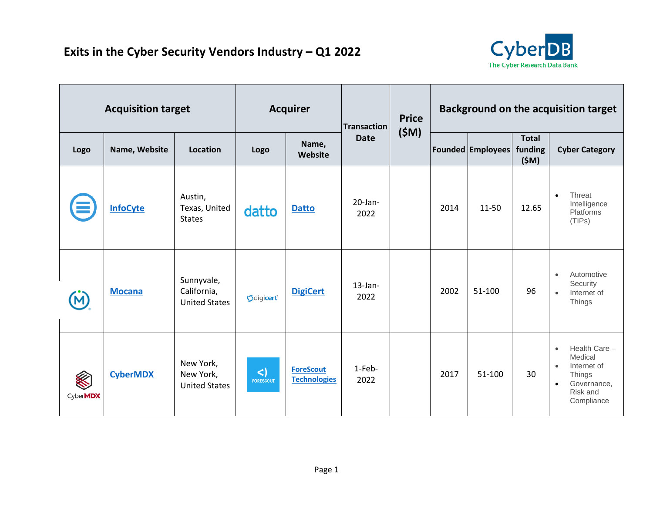

| <b>Acquisition target</b> |                 | <b>Acquirer</b>                                   |                            | Transaction                             | <b>Price</b>       | <b>Background on the acquisition target</b> |      |                          |                                 |                                                                                                                                   |
|---------------------------|-----------------|---------------------------------------------------|----------------------------|-----------------------------------------|--------------------|---------------------------------------------|------|--------------------------|---------------------------------|-----------------------------------------------------------------------------------------------------------------------------------|
| Logo                      | Name, Website   | Location                                          | Logo                       | Name,<br>Website                        | <b>Date</b>        | (SM)                                        |      | <b>Founded Employees</b> | <b>Total</b><br>funding<br>(SM) | <b>Cyber Category</b>                                                                                                             |
|                           | <b>InfoCyte</b> | Austin,<br>Texas, United<br><b>States</b>         | datto                      | <b>Datto</b>                            | $20$ -Jan-<br>2022 |                                             | 2014 | $11 - 50$                | 12.65                           | Threat<br>$\bullet$<br>Intelligence<br>Platforms<br>(TIPs)                                                                        |
|                           | <b>Mocana</b>   | Sunnyvale,<br>California,<br><b>United States</b> | Odigicert                  | <b>DigiCert</b>                         | $13$ -Jan-<br>2022 |                                             | 2002 | 51-100                   | 96                              | Automotive<br>$\bullet$<br>Security<br>Internet of<br>$\bullet$<br>Things                                                         |
| Cyber <b>MDX</b>          | <b>CyberMDX</b> | New York,<br>New York,<br><b>United States</b>    | $\leq$<br><b>FORESCOUT</b> | <b>ForeScout</b><br><b>Technologies</b> | 1-Feb-<br>2022     |                                             | 2017 | 51-100                   | 30                              | Health Care -<br>$\bullet$<br>Medical<br>Internet of<br>$\bullet$<br>Things<br>Governance,<br>$\bullet$<br>Risk and<br>Compliance |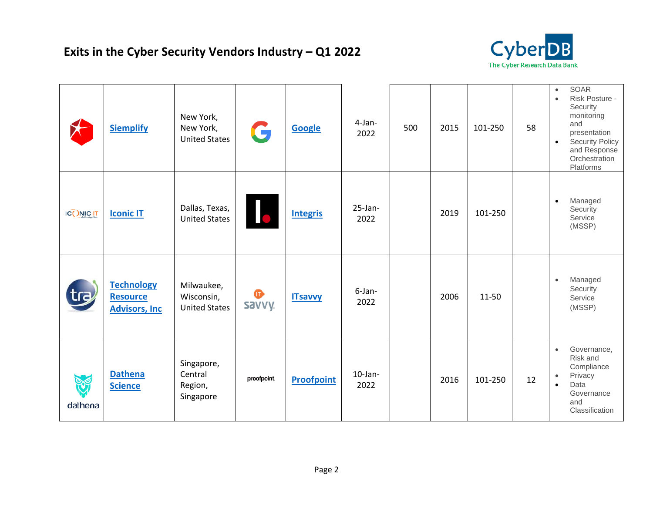

|                  | <b>Siemplify</b>                                              | New York,<br>New York,<br><b>United States</b>   | G                   | <b>Google</b>     | 4-Jan-<br>2022     | 500 | 2015 | 101-250   | 58 | <b>SOAR</b><br>$\bullet$<br>Risk Posture -<br>$\bullet$<br>Security<br>monitoring<br>and<br>presentation<br><b>Security Policy</b><br>$\bullet$<br>and Response<br>Orchestration<br>Platforms |
|------------------|---------------------------------------------------------------|--------------------------------------------------|---------------------|-------------------|--------------------|-----|------|-----------|----|-----------------------------------------------------------------------------------------------------------------------------------------------------------------------------------------------|
| <b>ICONIC IT</b> | <b>Iconic IT</b>                                              | Dallas, Texas,<br><b>United States</b>           | 16                  | <b>Integris</b>   | $25$ -Jan-<br>2022 |     | 2019 | 101-250   |    | Managed<br>$\bullet$<br>Security<br>Service<br>(MSSP)                                                                                                                                         |
| tra              | <b>Technology</b><br><b>Resource</b><br><b>Advisors, Inc.</b> | Milwaukee,<br>Wisconsin,<br><b>United States</b> | $\bullet$<br>savvy. | <b>ITsavvy</b>    | 6-Jan-<br>2022     |     | 2006 | $11 - 50$ |    | Managed<br>$\bullet$<br>Security<br>Service<br>(MSSP)                                                                                                                                         |
| dathena          | <b>Dathena</b><br><b>Science</b>                              | Singapore,<br>Central<br>Region,<br>Singapore    | proofpoint.         | <b>Proofpoint</b> | $10$ -Jan-<br>2022 |     | 2016 | 101-250   | 12 | Governance,<br>$\bullet$<br>Risk and<br>Compliance<br>Privacy<br>$\bullet$<br>Data<br>$\bullet$<br>Governance<br>and<br>Classification                                                        |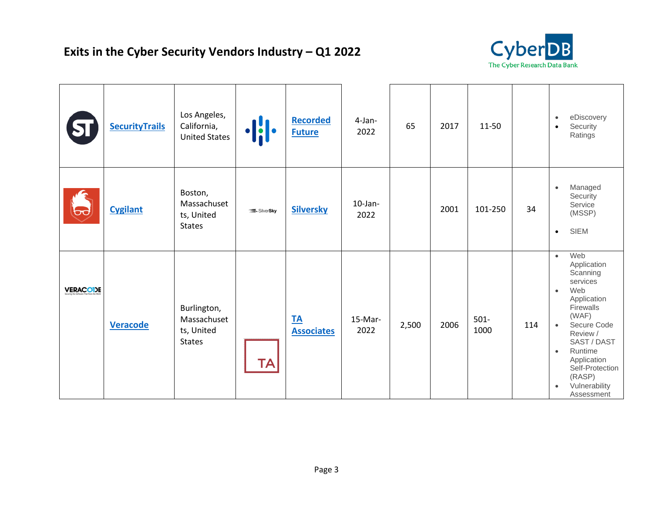

|                 | <b>SecurityTrails</b> | Los Angeles,<br>California,<br><b>United States</b>       |           | <b>Recorded</b><br><b>Future</b> | 4-Jan-<br>2022     | 65    | 2017 | $11 - 50$       |     | eDiscovery<br>$\bullet$<br>Security<br>$\bullet$<br>Ratings                                                                                                                                                                                                                             |
|-----------------|-----------------------|-----------------------------------------------------------|-----------|----------------------------------|--------------------|-------|------|-----------------|-----|-----------------------------------------------------------------------------------------------------------------------------------------------------------------------------------------------------------------------------------------------------------------------------------------|
| 69              | <b>Cygilant</b>       | Boston,<br>Massachuset<br>ts, United<br><b>States</b>     | SilverSky | <b>Silversky</b>                 | $10$ -Jan-<br>2022 |       | 2001 | 101-250         | 34  | Managed<br>$\bullet$<br>Security<br>Service<br>(MSSP)<br><b>SIEM</b><br>$\bullet$                                                                                                                                                                                                       |
| <b>VERACODE</b> | <b>Veracode</b>       | Burlington,<br>Massachuset<br>ts, United<br><b>States</b> | TA        | <u>TA</u><br><b>Associates</b>   | 15-Mar-<br>2022    | 2,500 | 2006 | $501 -$<br>1000 | 114 | Web<br>$\bullet$<br>Application<br>Scanning<br>services<br>Web<br>$\bullet$<br>Application<br>Firewalls<br>(WAF)<br>Secure Code<br>$\bullet$<br>Review /<br>SAST / DAST<br>Runtime<br>$\bullet$<br>Application<br>Self-Protection<br>(RASP)<br>Vulnerability<br>$\bullet$<br>Assessment |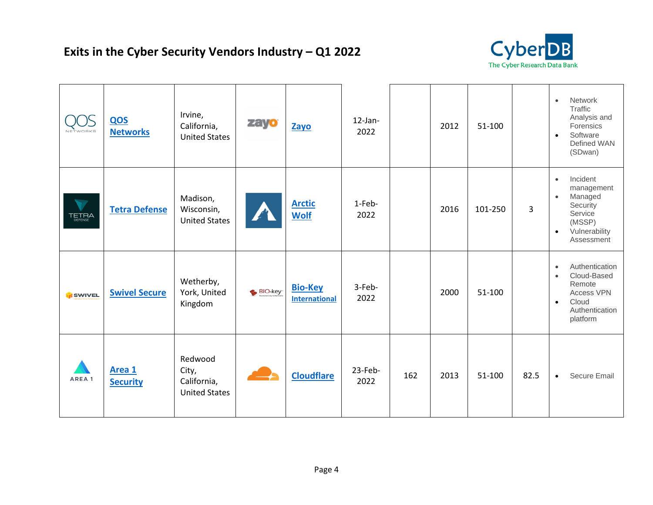

| NETWORKS        | QOS<br><b>Networks</b>    | Irvine,<br>California,<br><b>United States</b>          | zayo <sup>®</sup> | Zayo                                   | $12$ -Jan-<br>2022 |     | 2012 | 51-100  |                | Network<br>$\bullet$<br>Traffic<br>Analysis and<br>Forensics<br>Software<br>$\bullet$<br>Defined WAN<br>(SDwan)                            |
|-----------------|---------------------------|---------------------------------------------------------|-------------------|----------------------------------------|--------------------|-----|------|---------|----------------|--------------------------------------------------------------------------------------------------------------------------------------------|
| <b>TETRA</b>    | <b>Tetra Defense</b>      | Madison,<br>Wisconsin,<br><b>United States</b>          |                   | <b>Arctic</b><br><b>Wolf</b>           | 1-Feb-<br>2022     |     | 2016 | 101-250 | $\overline{3}$ | Incident<br>$\bullet$<br>management<br>Managed<br>$\bullet$<br>Security<br>Service<br>(MSSP)<br>Vulnerability<br>$\bullet$<br>Assessment   |
| <b>S</b> SWIVEL | <b>Swivel Secure</b>      | Wetherby,<br>York, United<br>Kingdom                    | BIO-key           | <b>Bio-Key</b><br><b>International</b> | 3-Feb-<br>2022     |     | 2000 | 51-100  |                | Authentication<br>$\bullet$<br>Cloud-Based<br>$\bullet$<br>Remote<br><b>Access VPN</b><br>Cloud<br>$\bullet$<br>Authentication<br>platform |
| AREA 1          | Area 1<br><b>Security</b> | Redwood<br>City,<br>California,<br><b>United States</b> |                   | <b>Cloudflare</b>                      | $23$ -Feb-<br>2022 | 162 | 2013 | 51-100  | 82.5           | Secure Email<br>$\bullet$                                                                                                                  |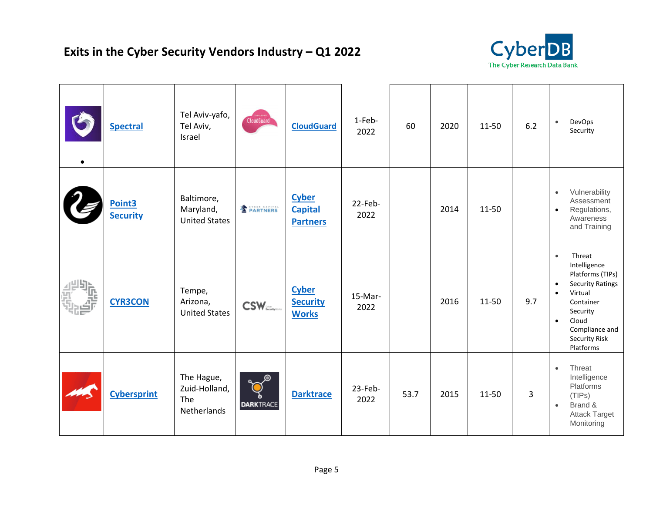

| <b>Spectral</b>                       | Tel Aviv-yafo,<br>Tel Aviv,<br>Israel             | CloudGuard                    | <b>CloudGuard</b>                                 | 1-Feb-<br>2022  | 60   | 2020 | 11-50 | 6.2 | DevOps<br>$\bullet$<br>Security                                                                                                                                                                                               |
|---------------------------------------|---------------------------------------------------|-------------------------------|---------------------------------------------------|-----------------|------|------|-------|-----|-------------------------------------------------------------------------------------------------------------------------------------------------------------------------------------------------------------------------------|
| Point <sub>3</sub><br><b>Security</b> | Baltimore,<br>Maryland,<br><b>United States</b>   | <b>E</b> PARTNERS             | <b>Cyber</b><br><b>Capital</b><br><b>Partners</b> | 22-Feb-<br>2022 |      | 2014 | 11-50 |     | Vulnerability<br>$\bullet$<br>Assessment<br>Regulations,<br>$\bullet$<br>Awareness<br>and Training                                                                                                                            |
| <b>CYR3CON</b>                        | Tempe,<br>Arizona,<br><b>United States</b>        | $\text{CSW}_{\text{Riemann}}$ | <b>Cyber</b><br><b>Security</b><br><b>Works</b>   | 15-Mar-<br>2022 |      | 2016 | 11-50 | 9.7 | Threat<br>$\bullet$<br>Intelligence<br>Platforms (TIPs)<br><b>Security Ratings</b><br>$\bullet$<br>Virtual<br>$\bullet$<br>Container<br>Security<br>Cloud<br>$\bullet$<br>Compliance and<br><b>Security Risk</b><br>Platforms |
| <b>Cybersprint</b>                    | The Hague,<br>Zuid-Holland,<br>The<br>Netherlands | <b>DARKTRACE</b>              | <b>Darktrace</b>                                  | 23-Feb-<br>2022 | 53.7 | 2015 | 11-50 | 3   | Threat<br>$\bullet$<br>Intelligence<br>Platforms<br>(TIPS)<br>Brand &<br>$\bullet$<br><b>Attack Target</b><br>Monitoring                                                                                                      |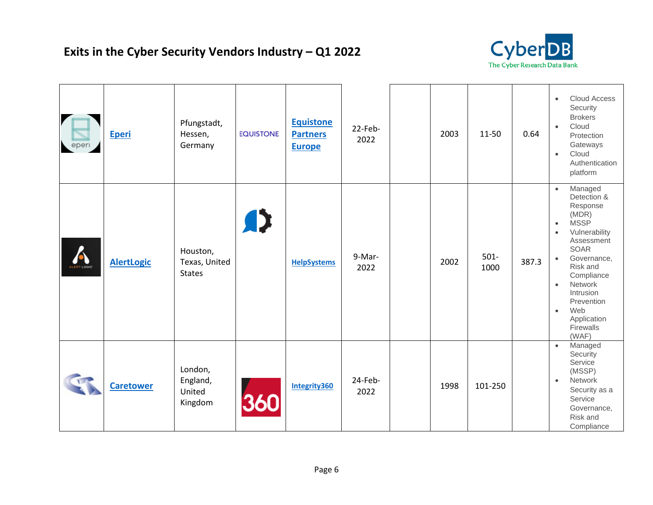

| eper       | <b>Eperi</b>      | Pfungstadt,<br>Hessen,<br>Germany          | <b>EQUISTONE</b> | <b>Equistone</b><br><b>Partners</b><br><b>Europe</b> | 22-Feb-<br>2022 | 2003 | 11-50           | 0.64  | Cloud Access<br>$\bullet$<br>Security<br><b>Brokers</b><br>Cloud<br>$\bullet$<br>Protection<br>Gateways<br>Cloud<br>$\bullet$<br>Authentication<br>platform                                                                                                                                                       |
|------------|-------------------|--------------------------------------------|------------------|------------------------------------------------------|-----------------|------|-----------------|-------|-------------------------------------------------------------------------------------------------------------------------------------------------------------------------------------------------------------------------------------------------------------------------------------------------------------------|
| ALERTLOGIC | <b>AlertLogic</b> | Houston,<br>Texas, United<br><b>States</b> | A>               | <b>HelpSystems</b>                                   | 9-Mar-<br>2022  | 2002 | $501 -$<br>1000 | 387.3 | Managed<br>$\bullet$<br>Detection &<br>Response<br>(MDR)<br><b>MSSP</b><br>$\bullet$<br>Vulnerability<br>$\bullet$<br>Assessment<br><b>SOAR</b><br>Governance,<br>$\bullet$<br>Risk and<br>Compliance<br>Network<br>$\bullet$<br>Intrusion<br>Prevention<br>Web<br>$\bullet$<br>Application<br>Firewalls<br>(WAF) |
|            | <b>Caretower</b>  | London,<br>England,<br>United<br>Kingdom   | 360              | Integrity360                                         | 24-Feb-<br>2022 | 1998 | 101-250         |       | Managed<br>$\bullet$<br>Security<br>Service<br>(MSSP)<br>Network<br>$\bullet$<br>Security as a<br>Service<br>Governance,<br>Risk and<br>Compliance                                                                                                                                                                |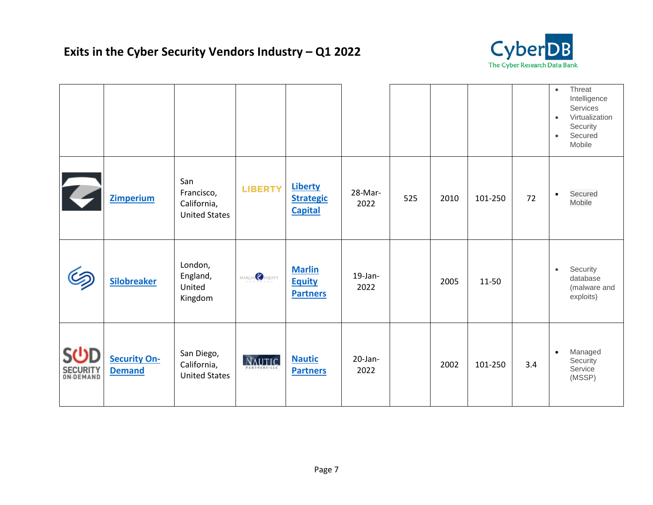## **Exits in the Cyber Security Vendors Industry – Q1 2022**



|                                     |                                      |                                                          |                                     |                                                      |                    |     |      |         |     | Threat<br>$\bullet$<br>Intelligence<br>Services<br>Virtualization<br>$\bullet$<br>Security<br>Secured<br>$\bullet$<br>Mobile |
|-------------------------------------|--------------------------------------|----------------------------------------------------------|-------------------------------------|------------------------------------------------------|--------------------|-----|------|---------|-----|------------------------------------------------------------------------------------------------------------------------------|
| 2                                   | <b>Zimperium</b>                     | San<br>Francisco,<br>California,<br><b>United States</b> | <b>LIBERTY</b>                      | <b>Liberty</b><br><b>Strategic</b><br><b>Capital</b> | 28-Mar-<br>2022    | 525 | 2010 | 101-250 | 72  | Secured<br>$\bullet$<br>Mobile                                                                                               |
| G                                   | <b>Silobreaker</b>                   | London,<br>England,<br>United<br>Kingdom                 | MARLIN CEQUITY                      | <b>Marlin</b><br><b>Equity</b><br><b>Partners</b>    | $19$ -Jan-<br>2022 |     | 2005 | 11-50   |     | Security<br>$\bullet$<br>database<br>(malware and<br>exploits)                                                               |
| SÜD<br><b>SECURITY</b><br>ON-DEMAND | <b>Security On-</b><br><b>Demand</b> | San Diego,<br>California,<br><b>United States</b>        | <b>NAUTIC</b><br><b>PARTNERS-LL</b> | <b>Nautic</b><br><b>Partners</b>                     | $20$ -Jan-<br>2022 |     | 2002 | 101-250 | 3.4 | Managed<br>$\bullet$<br>Security<br>Service<br>(MSSP)                                                                        |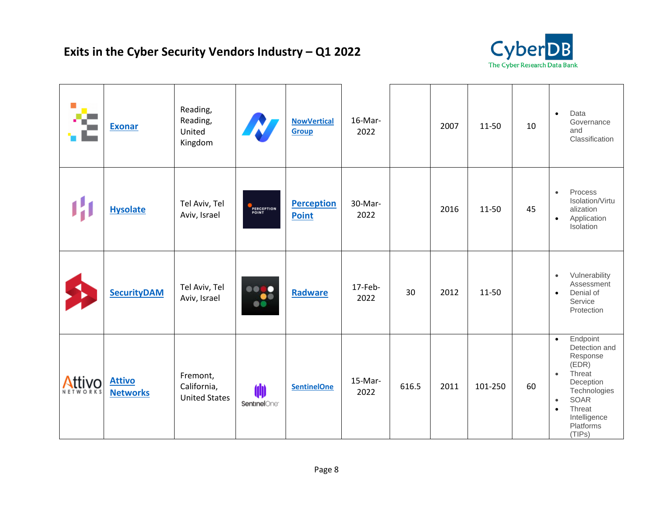

| 企      | <b>Exonar</b>                    | Reading,<br>Reading,<br>United<br>Kingdom       |                                  | <b>NowVertical</b><br><b>Group</b> | 16-Mar-<br>2022 |       | 2007 | 11-50     | 10 | Data<br>$\bullet$<br>Governance<br>and<br>Classification                                                                                                                                                  |
|--------|----------------------------------|-------------------------------------------------|----------------------------------|------------------------------------|-----------------|-------|------|-----------|----|-----------------------------------------------------------------------------------------------------------------------------------------------------------------------------------------------------------|
|        | <b>Hysolate</b>                  | Tel Aviv, Tel<br>Aviv, Israel                   | PERCEPTION<br>POINT              | <b>Perception</b><br><b>Point</b>  | 30-Mar-<br>2022 |       | 2016 | $11 - 50$ | 45 | Process<br>$\bullet$<br>Isolation/Virtu<br>alization<br>Application<br>$\bullet$<br>Isolation                                                                                                             |
|        | <b>SecurityDAM</b>               | Tel Aviv, Tel<br>Aviv, Israel                   | 0000<br>B                        | <b>Radware</b>                     | 17-Feb-<br>2022 | 30    | 2012 | $11 - 50$ |    | Vulnerability<br>$\bullet$<br>Assessment<br>Denial of<br>$\bullet$<br>Service<br>Protection                                                                                                               |
| Attivo | <b>Attivo</b><br><b>Networks</b> | Fremont,<br>California,<br><b>United States</b> | (III<br>SentinelOne <sup>®</sup> | <b>SentinelOne</b>                 | 15-Mar-<br>2022 | 616.5 | 2011 | 101-250   | 60 | Endpoint<br>$\bullet$<br>Detection and<br>Response<br>(EDR)<br>Threat<br>$\bullet$<br>Deception<br>Technologies<br><b>SOAR</b><br>$\bullet$<br>Threat<br>$\bullet$<br>Intelligence<br>Platforms<br>(TIPs) |